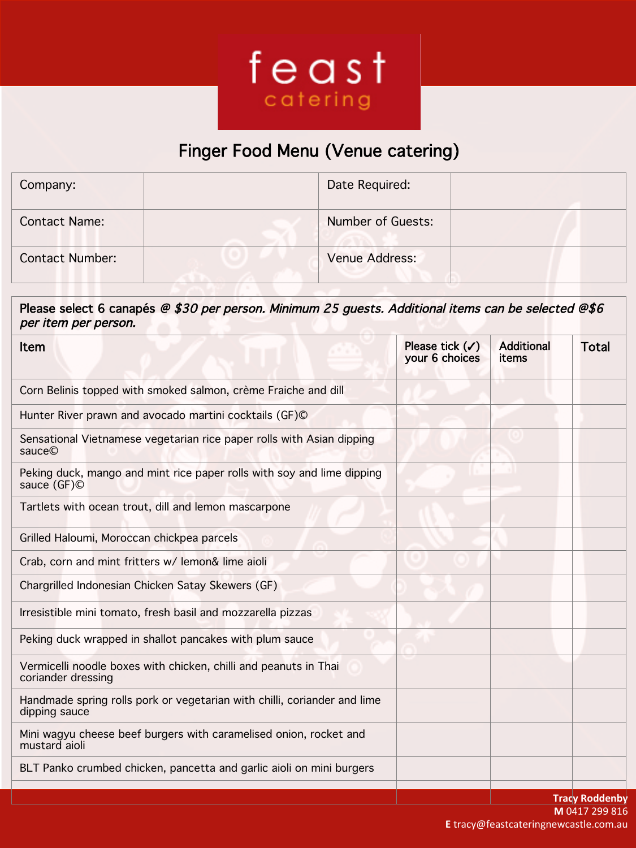

## Finger Food Menu (Venue catering)!

| Company:               | Date Required:    |
|------------------------|-------------------|
| <b>Contact Name:</b>   | Number of Guests: |
| <b>Contact Number:</b> | Venue Address:    |

Please select 6 canapés @ \$30 per person. Minimum 25 guests. Additional items can be selected @\$6 per item per person.

| Item                                                                                      | Please tick $(\checkmark)$<br>your 6 choices | <b>Additional</b><br>items | Total                 |
|-------------------------------------------------------------------------------------------|----------------------------------------------|----------------------------|-----------------------|
| Corn Belinis topped with smoked salmon, crème Fraiche and dill                            |                                              |                            |                       |
| Hunter River prawn and avocado martini cocktails (GF)©                                    |                                              |                            |                       |
| Sensational Vietnamese vegetarian rice paper rolls with Asian dipping<br>sauce©           |                                              |                            |                       |
| Peking duck, mango and mint rice paper rolls with soy and lime dipping<br>sauce (GF)©     |                                              |                            |                       |
| Tartlets with ocean trout, dill and lemon mascarpone                                      |                                              |                            |                       |
| Grilled Haloumi, Moroccan chickpea parcels                                                |                                              |                            |                       |
| Crab, corn and mint fritters w/ lemon& lime aioli                                         |                                              |                            |                       |
| Chargrilled Indonesian Chicken Satay Skewers (GF)                                         |                                              |                            |                       |
| Irresistible mini tomato, fresh basil and mozzarella pizzas                               |                                              |                            |                       |
| Peking duck wrapped in shallot pancakes with plum sauce                                   |                                              |                            |                       |
| Vermicelli noodle boxes with chicken, chilli and peanuts in Thai<br>coriander dressing    |                                              |                            |                       |
| Handmade spring rolls pork or vegetarian with chilli, coriander and lime<br>dipping sauce |                                              |                            |                       |
| Mini wagyu cheese beef burgers with caramelised onion, rocket and<br>mustard aioli        |                                              |                            |                       |
| BLT Panko crumbed chicken, pancetta and garlic aioli on mini burgers                      |                                              |                            |                       |
|                                                                                           |                                              |                            | <b>Tracy Roddenby</b> |